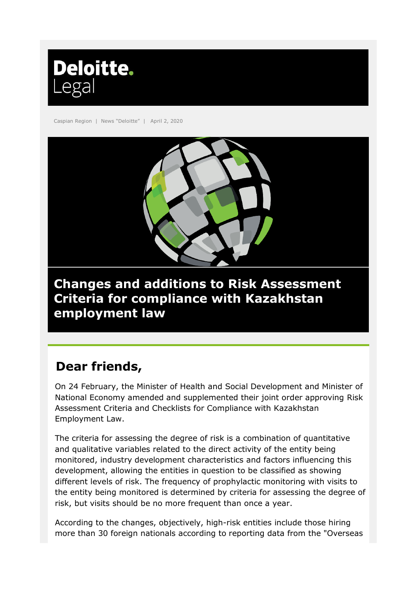

Caspian Region | News "Deloitte" | April 2, 2020



## **Changes and additions to Risk Assessment Criteria for compliance with Kazakhstan employment law**

# **Dear friends,**

On 24 February, the Minister of Health and Social Development and Minister of National Economy amended and supplemented their joint order approving Risk Assessment Criteria and Checklists for Compliance with Kazakhstan Employment Law.

The criteria for assessing the degree of risk is a combination of quantitative and qualitative variables related to the direct activity of the entity being monitored, industry development characteristics and factors influencing this development, allowing the entities in question to be classified as showing different levels of risk. The frequency of prophylactic monitoring with visits to the entity being monitored is determined by criteria for assessing the degree of risk, but visits should be no more frequent than once a year.

According to the changes, objectively, high-risk entities include those hiring more than 30 foreign nationals according to reporting data from the "Overseas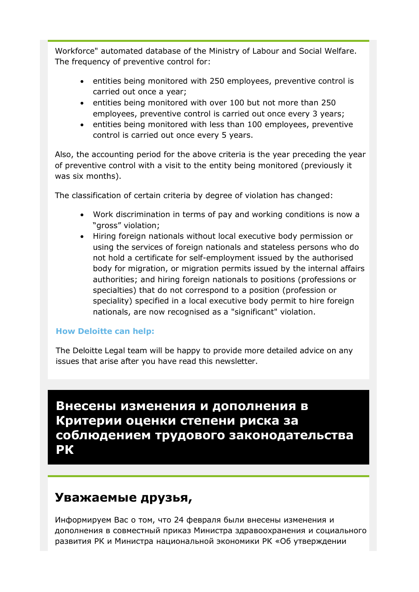Workforce" automated database of the Ministry of Labour and Social Welfare. The frequency of preventive control for:

- entities being monitored with 250 employees, preventive control is carried out once a year;
- entities being monitored with over 100 but not more than 250 employees, preventive control is carried out once every 3 years;
- entities being monitored with less than 100 employees, preventive control is carried out once every 5 years.

Also, the accounting period for the above criteria is the year preceding the year of preventive control with a visit to the entity being monitored (previously it was six months).

The classification of certain criteria by degree of violation has changed:

- Work discrimination in terms of pay and working conditions is now a "gross" violation;
- Hiring foreign nationals without local executive body permission or using the services of foreign nationals and stateless persons who do not hold a certificate for self-employment issued by the authorised body for migration, or migration permits issued by the internal affairs authorities; and hiring foreign nationals to positions (professions or specialties) that do not correspond to a position (profession or speciality) specified in a local executive body permit to hire foreign nationals, are now recognised as a "significant" violation.

#### **How Deloitte can help:**

The Deloitte Legal team will be happy to provide more detailed advice on any issues that arise after you have read this newsletter.

## **Внесены изменения и дополнения в Критерии оценки степени риска за соблюдением трудового законодательства РК**

### **Уважаемые друзья,**

Информируем Вас о том, что 24 февраля были внесены изменения и дополнения в совместный приказ Министра здравоохранения и социального развития РК и Министра национальной экономики РК «Об утверждении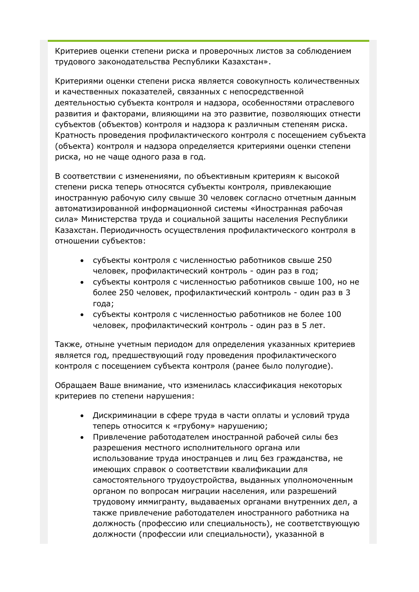Критериев оценки степени риска и проверочных листов за соблюдением трудового законодательства Республики Казахстан».

Критериями оценки степени риска является совокупность количественных и качественных показателей, связанных с непосредственной деятельностью субъекта контроля и надзора, особенностями отраслевого развития и факторами, влияющими на это развитие, позволяющих отнести субъектов (объектов) контроля и надзора к различным степеням риска. Кратность проведения профилактического контроля с посещением субъекта (объекта) контроля и надзора определяется критериями оценки степени риска, но не чаще одного раза в год.

В соответствии с изменениями, по объективным критериям к высокой степени риска теперь относятся субъекты контроля, привлекающие иностранную рабочую силу свыше 30 человек согласно отчетным данным автоматизированной информационной системы «Иностранная рабочая сила» Министерства труда и социальной защиты населения Республики Казахстан. Периодичность осуществления профилактического контроля в отношении субъектов:

- субъекты контроля с численностью работников свыше 250 человек, профилактический контроль - один раз в год;
- субъекты контроля с численностью работников свыше 100, но не более 250 человек, профилактический контроль - один раз в 3 года;
- субъекты контроля с численностью работников не более 100 человек, профилактический контроль - один раз в 5 лет.

Также, отныне учетным периодом для определения указанных критериев является год, предшествующий году проведения профилактического контроля с посещением субъекта контроля (ранее было полугодие).

Обращаем Ваше внимание, что изменилась классификация некоторых критериев по степени нарушения:

- Дискриминации в сфере труда в части оплаты и условий труда теперь относится к «грубому» нарушению;
- Привлечение работодателем иностранной рабочей силы без разрешения местного исполнительного органа или использование труда иностранцев и лиц без гражданства, не имеющих справок о соответствии квалификации для самостоятельного трудоустройства, выданных уполномоченным органом по вопросам миграции населения, или разрешений трудовому иммигранту, выдаваемых органами внутренних дел, а также привлечение работодателем иностранного работника на должность (профессию или специальность), не соответствующую должности (профессии или специальности), указанной в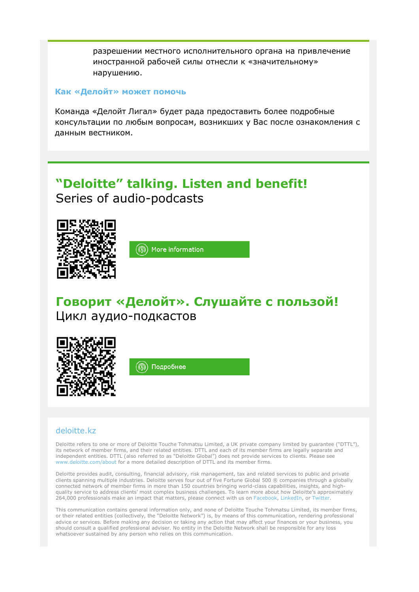разрешении местного исполнительного органа на привлечение иностранной рабочей силы отнесли к «значительному» нарушению.

#### **Как «Делойт» может помочь**

Команда «Делойт Лигал» будет рада предоставить более подробные консультации по любым вопросам, возникших у Вас после ознакомления с данным вестником.

## **"Deloitte" talking. Listen and benefit!**  Series of audio-podcasts



More information (டு)

## **Говорит «Делойт». Слушайте с пользой!**  Цикл аудио-подкастов



#### [deloitte.kz](http://www2.deloitte.com/kz/ru.html)

Deloitte refers to one or more of Deloitte Touche Tohmatsu Limited, a UK private company limited by guarantee ("DTTL"), its network of member firms, and their related entities. DTTL and each of its member firms are legally separate and independent entities. DTTL (also referred to as "Deloitte Global") does not provide services to clients. Please see [www.deloitte.com/about](http://www.deloitte.com/about) for a more detailed description of DTTL and its member firms.

Deloitte provides audit, consulting, financial advisory, risk management, tax and related services to public and private clients spanning multiple industries. Deloitte serves four out of five Fortune Global 500 ® companies through a globally connected network of member firms in more than 150 countries bringing world-class capabilities, insights, and highquality service to address clients' most complex business challenges. To learn more about how Deloitte's approximately 264,000 professionals make an impact that matters, please connect with us on [Facebook,](https://www.facebook.com/deloitte) [LinkedIn,](https://www.linkedin.com/company/deloitte) or [Twitter.](https://twitter.com/deloitte)

This communication contains general information only, and none of Deloitte Touche Tohmatsu Limited, its member firms, or their related entities (collectively, the "Deloitte Network") is, by means of this communication, rendering professional advice or services. Before making any decision or taking any action that may affect your finances or your business, you should consult a qualified professional adviser. No entity in the Deloitte Network shall be responsible for any loss whatsoever sustained by any person who relies on this communication.